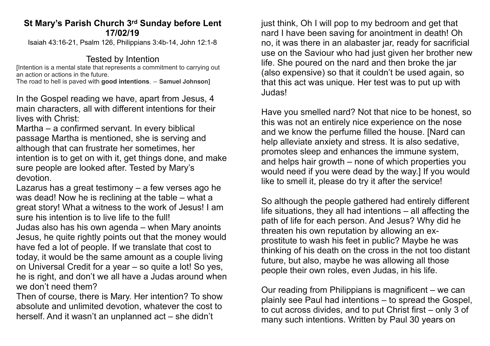## **St Mary's Parish Church 3rd Sunday before Lent 17/02/19**

Isaiah 43:16-21, Psalm 126, Philippians 3:4b-14, John 12:1-8

## Tested by Intention

[Intention is a mental state that represents a commitment to carrying out an action or actions in the future.

The road to hell is paved with **good intentions**. ― **Samuel Johnson]**

In the Gospel reading we have, apart from Jesus, 4 main characters, all with different intentions for their lives with Christ:

Martha – a confirmed servant. In every biblical passage Martha is mentioned, she is serving and although that can frustrate her sometimes, her intention is to get on with it, get things done, and make sure people are looked after. Tested by Mary's devotion.

Lazarus has a great testimony – a few verses ago he was dead! Now he is reclining at the table – what a great story! What a witness to the work of Jesus! I am sure his intention is to live life to the full! Judas also has his own agenda – when Mary anoints Jesus, he quite rightly points out that the money would have fed a lot of people. If we translate that cost to today, it would be the same amount as a couple living on Universal Credit for a year – so quite a lot! So yes, he is right, and don't we all have a Judas around when we don't need them?

Then of course, there is Mary. Her intention? To show absolute and unlimited devotion, whatever the cost to herself. And it wasn't an unplanned act – she didn't

just think, Oh I will pop to my bedroom and get that nard I have been saving for anointment in death! Oh no, it was there in an alabaster jar, ready for sacrificial use on the Saviour who had just given her brother new life. She poured on the nard and then broke the jar (also expensive) so that it couldn't be used again, so that this act was unique. Her test was to put up with Judas!

Have you smelled nard? Not that nice to be honest, so this was not an entirely nice experience on the nose and we know the perfume filled the house. [Nard can help alleviate anxiety and stress. It is also sedative, promotes sleep and enhances the immune system, and helps hair growth – none of which properties you would need if you were dead by the way.] If you would like to smell it, please do try it after the service!

So although the people gathered had entirely different life situations, they all had intentions – all affecting the path of life for each person. And Jesus? Why did he threaten his own reputation by allowing an exprostitute to wash his feet in public? Maybe he was thinking of his death on the cross in the not too distant future, but also, maybe he was allowing all those people their own roles, even Judas, in his life.

Our reading from Philippians is magnificent – we can plainly see Paul had intentions – to spread the Gospel, to cut across divides, and to put Christ first – only 3 of many such intentions. Written by Paul 30 years on